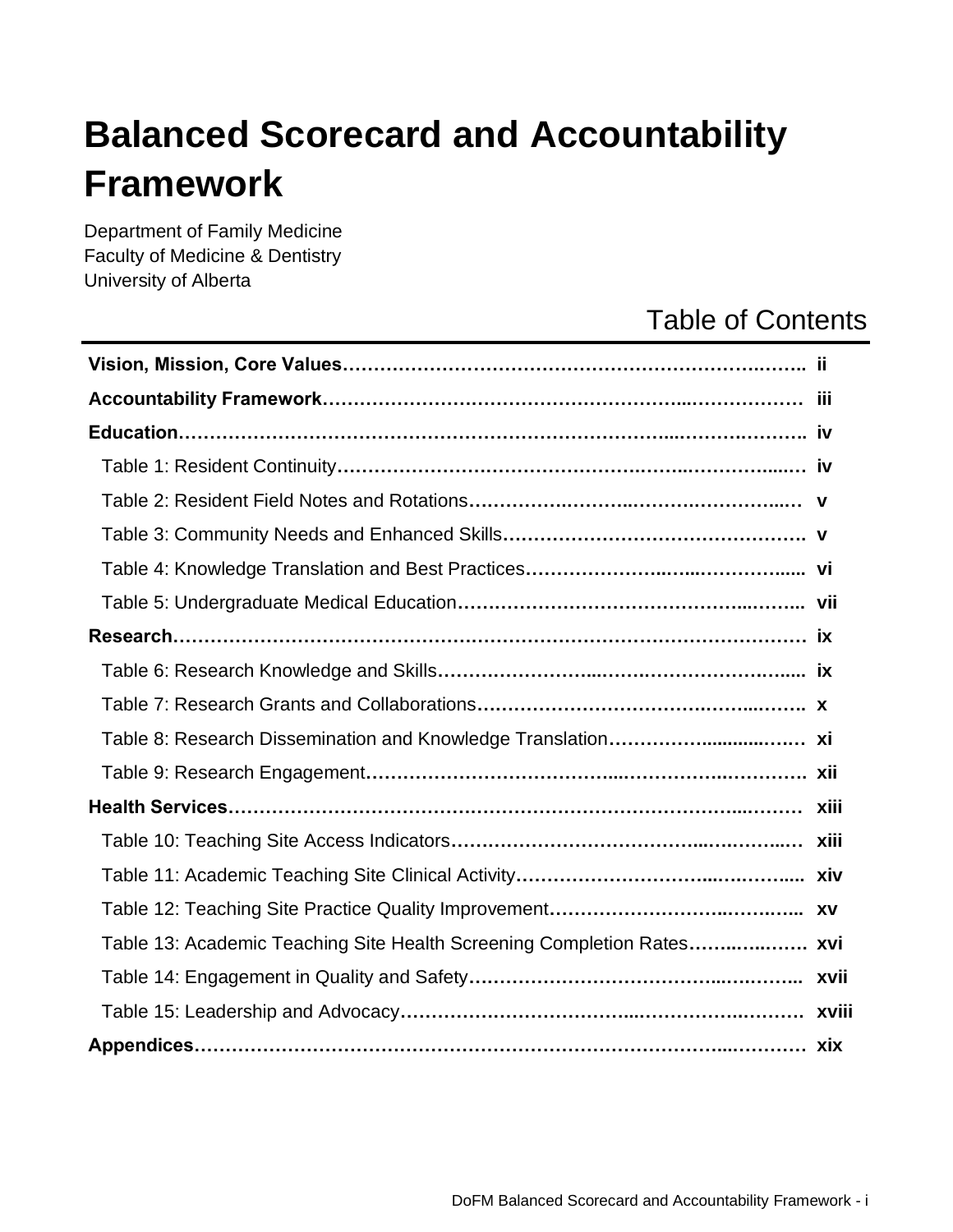# **Balanced Scorecard and Accountability Framework**

Department of Family Medicine Faculty of Medicine & Dentistry University of Alberta

## Table of Contents

| Table 13: Academic Teaching Site Health Screening Completion Rates xvi |  |
|------------------------------------------------------------------------|--|
|                                                                        |  |
|                                                                        |  |
|                                                                        |  |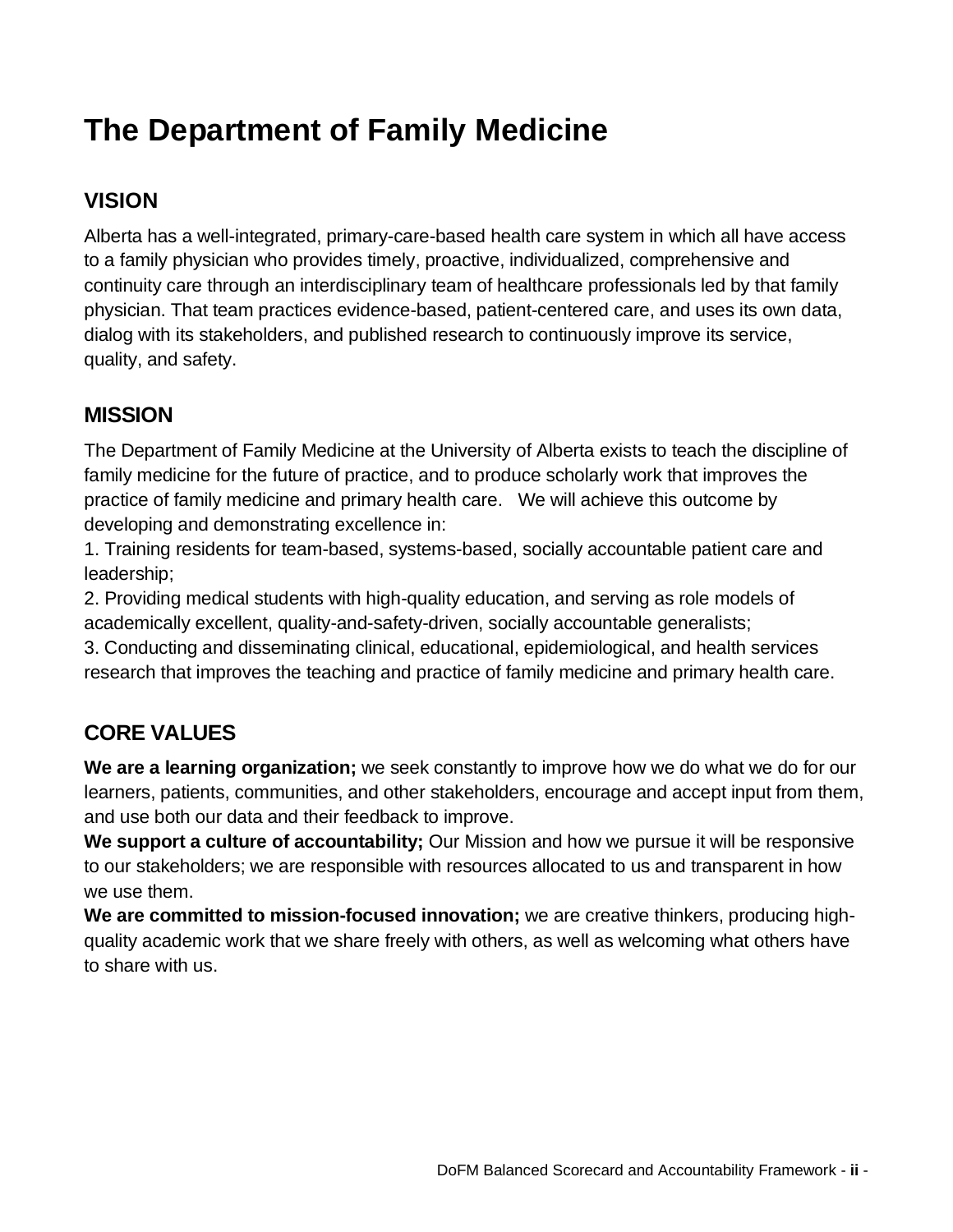## **The Department of Family Medicine**

## **VISION**

Alberta has a well-integrated, primary-care-based health care system in which all have access to a family physician who provides timely, proactive, individualized, comprehensive and continuity care through an interdisciplinary team of healthcare professionals led by that family physician. That team practices evidence-based, patient-centered care, and uses its own data, dialog with its stakeholders, and published research to continuously improve its service, quality, and safety.

## **MISSION**

The Department of Family Medicine at the University of Alberta exists to teach the discipline of family medicine for the future of practice, and to produce scholarly work that improves the practice of family medicine and primary health care. We will achieve this outcome by developing and demonstrating excellence in:

1. Training residents for team-based, systems-based, socially accountable patient care and leadership;

2. Providing medical students with high-quality education, and serving as role models of academically excellent, quality-and-safety-driven, socially accountable generalists;

3. Conducting and disseminating clinical, educational, epidemiological, and health services research that improves the teaching and practice of family medicine and primary health care.

## **CORE VALUES**

**We are a learning organization;** we seek constantly to improve how we do what we do for our learners, patients, communities, and other stakeholders, encourage and accept input from them, and use both our data and their feedback to improve.

We support a culture of accountability; Our Mission and how we pursue it will be responsive to our stakeholders; we are responsible with resources allocated to us and transparent in how we use them.

**We are committed to mission-focused innovation;** we are creative thinkers, producing highquality academic work that we share freely with others, as well as welcoming what others have to share with us.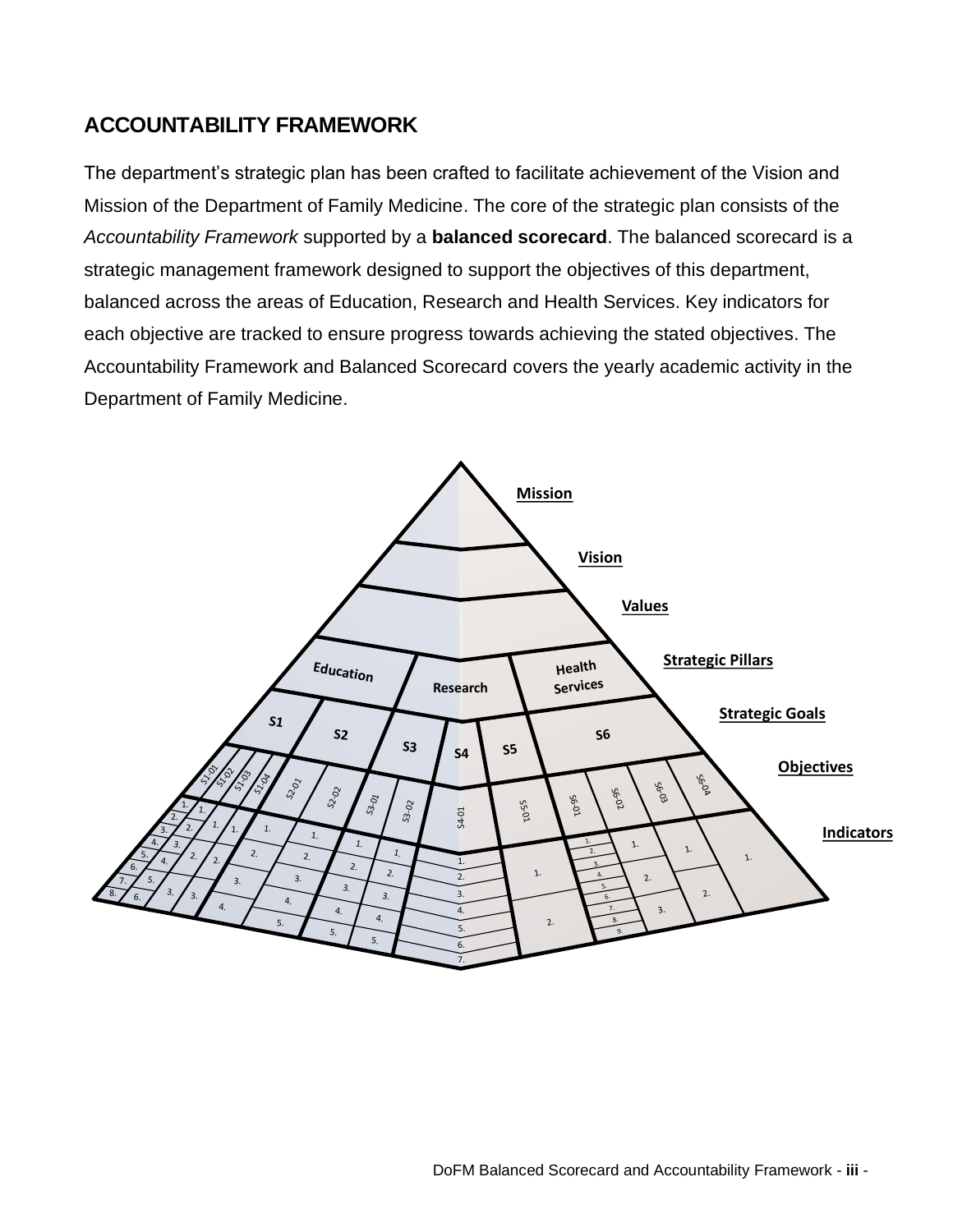## **ACCOUNTABILITY FRAMEWORK**

The department's strategic plan has been crafted to facilitate achievement of the Vision and Mission of the Department of Family Medicine. The core of the strategic plan consists of the *Accountability Framework* supported by a **balanced scorecard**. The balanced scorecard is a strategic management framework designed to support the objectives of this department, balanced across the areas of Education, Research and Health Services. Key indicators for each objective are tracked to ensure progress towards achieving the stated objectives. The Accountability Framework and Balanced Scorecard covers the yearly academic activity in the Department of Family Medicine.

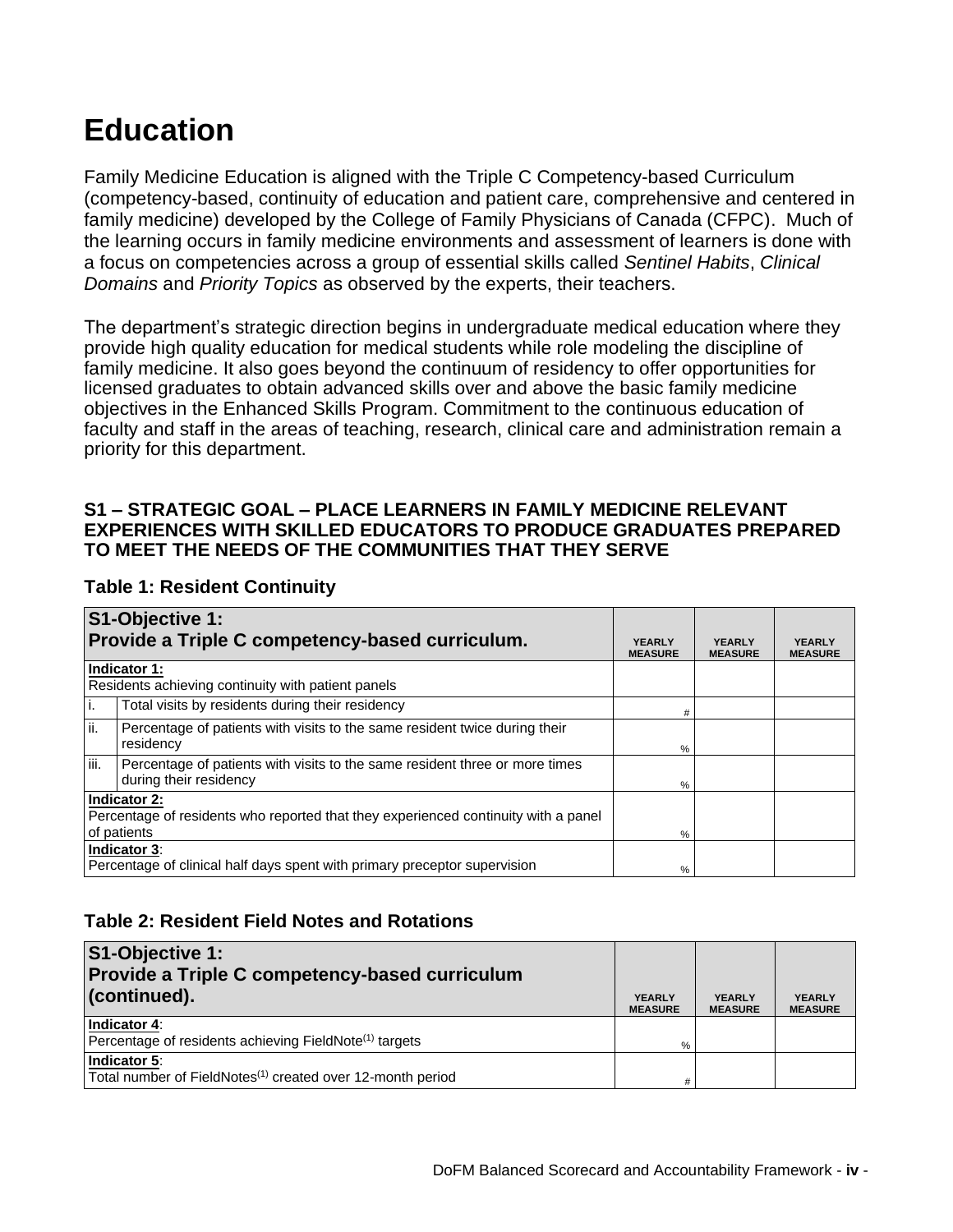## **Education**

Family Medicine Education is aligned with the Triple C Competency-based Curriculum (competency-based, continuity of education and patient care, comprehensive and centered in family medicine) developed by the College of Family Physicians of Canada (CFPC). Much of the learning occurs in family medicine environments and assessment of learners is done with a focus on competencies across a group of essential skills called *Sentinel Habits*, *Clinical Domains* and *Priority Topics* as observed by the experts, their teachers.

The department's strategic direction begins in undergraduate medical education where they provide high quality education for medical students while role modeling the discipline of family medicine. It also goes beyond the continuum of residency to offer opportunities for licensed graduates to obtain advanced skills over and above the basic family medicine objectives in the Enhanced Skills Program. Commitment to the continuous education of faculty and staff in the areas of teaching, research, clinical care and administration remain a priority for this department.

#### **S1 – STRATEGIC GOAL – PLACE LEARNERS IN FAMILY MEDICINE RELEVANT EXPERIENCES WITH SKILLED EDUCATORS TO PRODUCE GRADUATES PREPARED TO MEET THE NEEDS OF THE COMMUNITIES THAT THEY SERVE**

|      | S1-Objective 1:<br>Provide a Triple C competency-based curriculum.                                    | <b>YEARLY</b>  | <b>YEARLY</b>  | <b>YEARLY</b>  |
|------|-------------------------------------------------------------------------------------------------------|----------------|----------------|----------------|
|      | Indicator 1:                                                                                          | <b>MEASURE</b> | <b>MEASURE</b> | <b>MEASURE</b> |
|      | Residents achieving continuity with patient panels                                                    |                |                |                |
| i.   | Total visits by residents during their residency                                                      | #              |                |                |
| ii.  | Percentage of patients with visits to the same resident twice during their<br>residency               | %              |                |                |
| iii. | Percentage of patients with visits to the same resident three or more times<br>during their residency | %              |                |                |
|      | Indicator 2:                                                                                          |                |                |                |
|      | Percentage of residents who reported that they experienced continuity with a panel                    |                |                |                |
|      | of patients                                                                                           | %              |                |                |
|      | Indicator 3:                                                                                          |                |                |                |
|      | Percentage of clinical half days spent with primary preceptor supervision                             | %              |                |                |

#### **Table 1: Resident Continuity**

#### **Table 2: Resident Field Notes and Rotations**

| S1-Objective 1:<br><b>Provide a Triple C competency-based curriculum</b>               |                                 |                                 |                                 |
|----------------------------------------------------------------------------------------|---------------------------------|---------------------------------|---------------------------------|
| (continued).                                                                           | <b>YEARLY</b><br><b>MEASURE</b> | <b>YEARLY</b><br><b>MEASURE</b> | <b>YEARLY</b><br><b>MEASURE</b> |
| Indicator 4:<br>Percentage of residents achieving FieldNote <sup>(1)</sup> targets     | %                               |                                 |                                 |
| Indicator 5:<br>Total number of FieldNotes <sup>(1)</sup> created over 12-month period | #                               |                                 |                                 |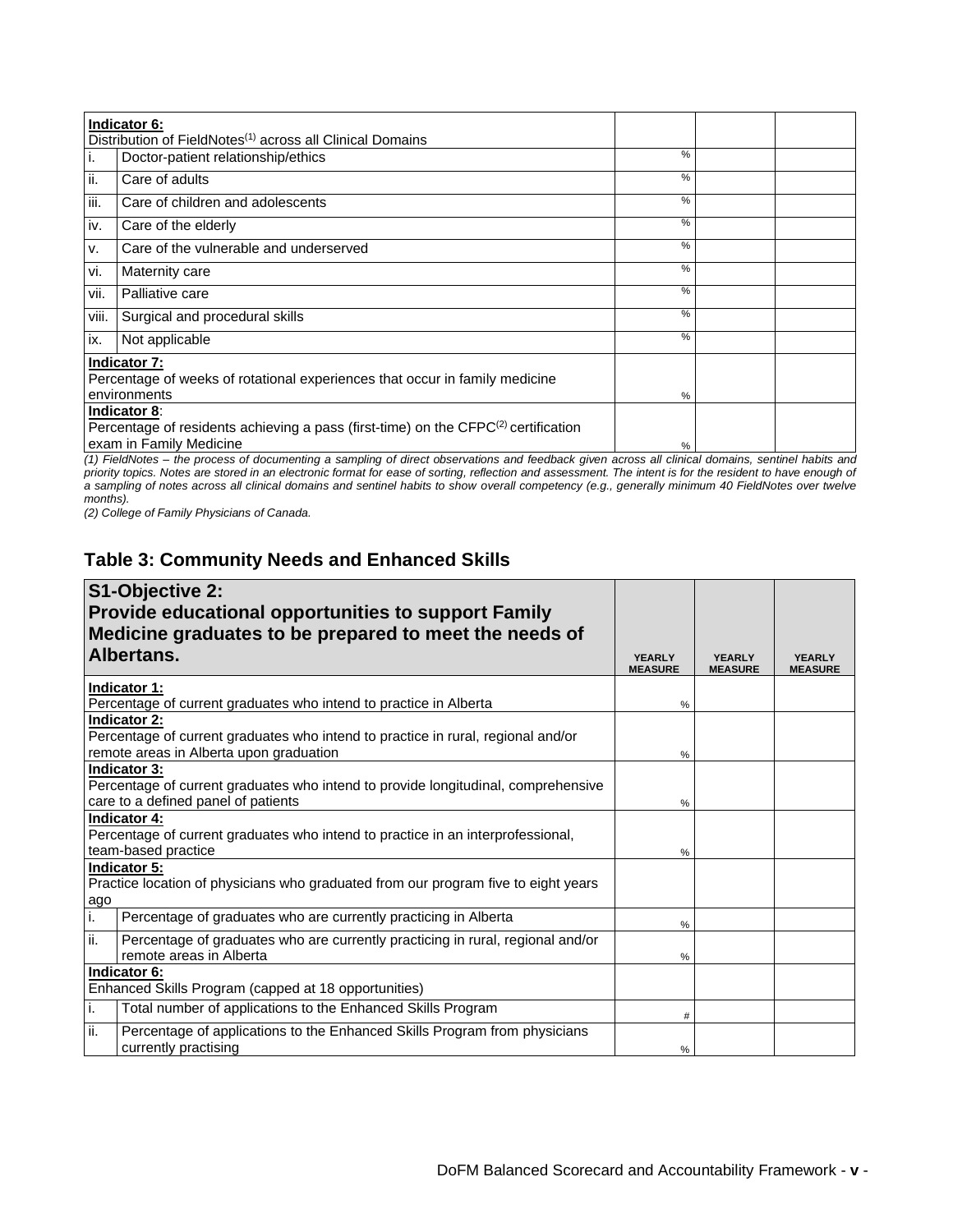|       | Indicator 6:                                                                                                                              |      |  |
|-------|-------------------------------------------------------------------------------------------------------------------------------------------|------|--|
|       | Distribution of FieldNotes <sup>(1)</sup> across all Clinical Domains                                                                     |      |  |
| i.    | Doctor-patient relationship/ethics                                                                                                        | $\%$ |  |
| ii.   | Care of adults                                                                                                                            | %    |  |
| iii.  | Care of children and adolescents                                                                                                          | %    |  |
| iv.   | Care of the elderly                                                                                                                       | $\%$ |  |
| V.    | Care of the vulnerable and underserved                                                                                                    | %    |  |
| vi.   | Maternity care                                                                                                                            | $\%$ |  |
| vii.  | Palliative care                                                                                                                           | %    |  |
| viii. | Surgical and procedural skills                                                                                                            | %    |  |
| ix.   | Not applicable                                                                                                                            | %    |  |
|       | Indicator 7:<br>Percentage of weeks of rotational experiences that occur in family medicine<br>environments                               | %    |  |
|       | Indicator 8:<br>Percentage of residents achieving a pass (first-time) on the CFPC <sup>(2)</sup> certification<br>exam in Family Medicine | %    |  |

*(1) FieldNotes – the process of documenting a sampling of direct observations and feedback given across all clinical domains, sentinel habits and priority topics. Notes are stored in an electronic format for ease of sorting, reflection and assessment. The intent is for the resident to have enough of a sampling of notes across all clinical domains and sentinel habits to show overall competency (e.g., generally minimum 40 FieldNotes over twelve months).*

*(2) College of Family Physicians of Canada.*

#### **Table 3: Community Needs and Enhanced Skills**

|     | S1-Objective 2:                                                                                                                                    |                                 |                                 |                                 |
|-----|----------------------------------------------------------------------------------------------------------------------------------------------------|---------------------------------|---------------------------------|---------------------------------|
|     | <b>Provide educational opportunities to support Family</b>                                                                                         |                                 |                                 |                                 |
|     | Medicine graduates to be prepared to meet the needs of                                                                                             |                                 |                                 |                                 |
|     | Albertans.                                                                                                                                         | <b>YEARLY</b><br><b>MEASURE</b> | <b>YEARLY</b><br><b>MEASURE</b> | <b>YFARLY</b><br><b>MEASURE</b> |
|     | Indicator 1:<br>Percentage of current graduates who intend to practice in Alberta                                                                  | %                               |                                 |                                 |
|     | <b>Indicator 2:</b><br>Percentage of current graduates who intend to practice in rural, regional and/or<br>remote areas in Alberta upon graduation | %                               |                                 |                                 |
|     | <b>Indicator 3:</b><br>Percentage of current graduates who intend to provide longitudinal, comprehensive<br>care to a defined panel of patients    | %                               |                                 |                                 |
|     | <b>Indicator 4:</b><br>Percentage of current graduates who intend to practice in an interprofessional,<br>team-based practice                      | %                               |                                 |                                 |
| ago | Indicator 5:<br>Practice location of physicians who graduated from our program five to eight years                                                 |                                 |                                 |                                 |
| i.  | Percentage of graduates who are currently practicing in Alberta                                                                                    | $\%$                            |                                 |                                 |
| ii. | Percentage of graduates who are currently practicing in rural, regional and/or<br>remote areas in Alberta                                          | %                               |                                 |                                 |
|     | Indicator 6:                                                                                                                                       |                                 |                                 |                                 |
|     | Enhanced Skills Program (capped at 18 opportunities)                                                                                               |                                 |                                 |                                 |
| i.  | Total number of applications to the Enhanced Skills Program                                                                                        | $\#$                            |                                 |                                 |
| ii. | Percentage of applications to the Enhanced Skills Program from physicians<br>currently practising                                                  | %                               |                                 |                                 |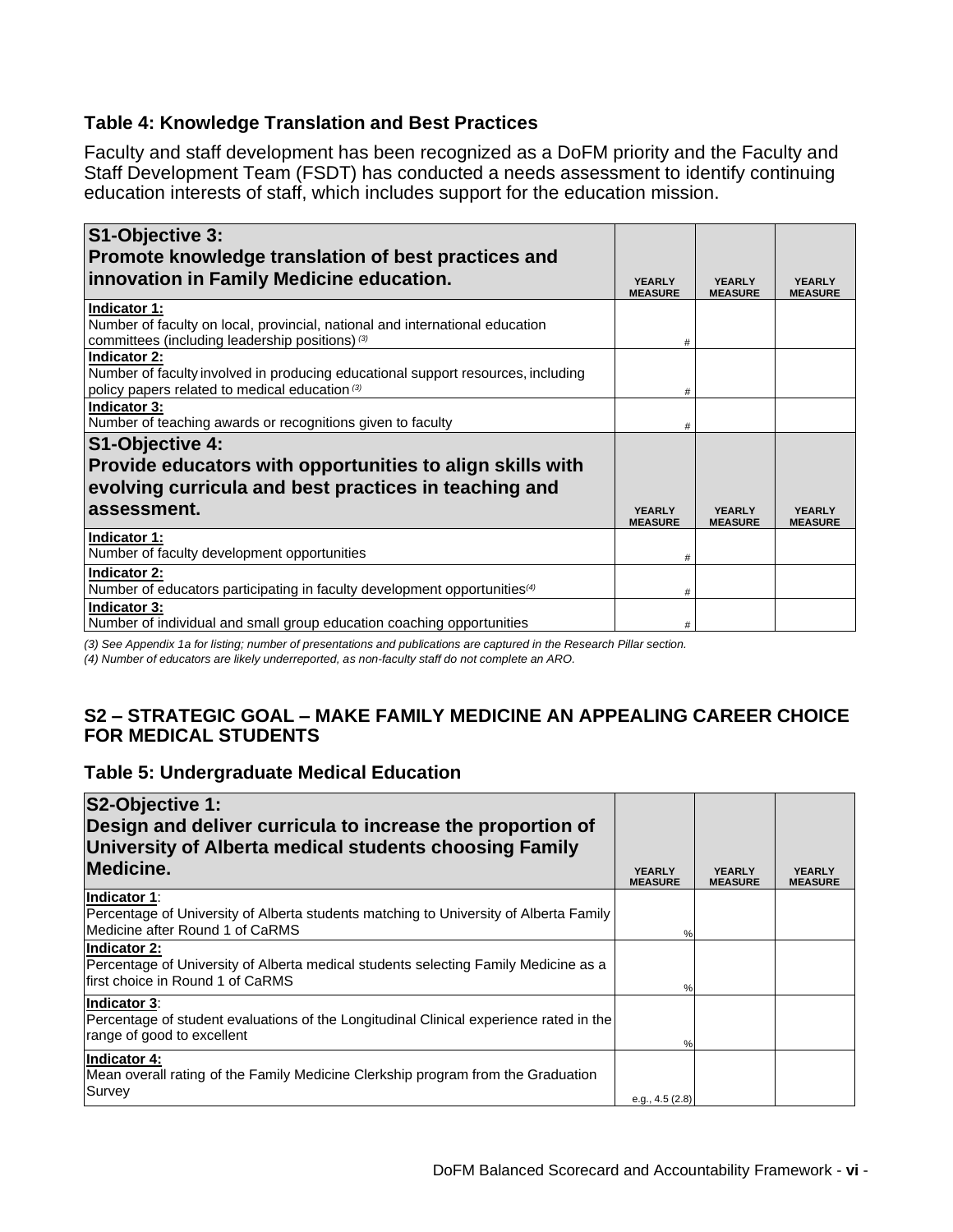#### **Table 4: Knowledge Translation and Best Practices**

Faculty and staff development has been recognized as a DoFM priority and the Faculty and Staff Development Team (FSDT) has conducted a needs assessment to identify continuing education interests of staff, which includes support for the education mission.

| S1-Objective 3:<br>Promote knowledge translation of best practices and                                                                             |                                 |                                 |                                 |
|----------------------------------------------------------------------------------------------------------------------------------------------------|---------------------------------|---------------------------------|---------------------------------|
| innovation in Family Medicine education.                                                                                                           | <b>YEARLY</b><br><b>MEASURE</b> | <b>YEARLY</b><br><b>MEASURE</b> | <b>YEARLY</b><br><b>MEASURE</b> |
| Indicator 1:<br>Number of faculty on local, provincial, national and international education<br>committees (including leadership positions) (3)    | #                               |                                 |                                 |
| Indicator 2:<br>Number of faculty involved in producing educational support resources, including<br>policy papers related to medical education (3) | #                               |                                 |                                 |
| Indicator 3:<br>Number of teaching awards or recognitions given to faculty                                                                         | #                               |                                 |                                 |
| S1-Objective 4:                                                                                                                                    |                                 |                                 |                                 |
| Provide educators with opportunities to align skills with                                                                                          |                                 |                                 |                                 |
| evolving curricula and best practices in teaching and                                                                                              |                                 |                                 |                                 |
| assessment.                                                                                                                                        | <b>YEARLY</b><br><b>MEASURE</b> | <b>YEARLY</b><br><b>MEASURE</b> | <b>YFARLY</b><br><b>MEASURE</b> |
| Indicator 1:<br>Number of faculty development opportunities                                                                                        | #                               |                                 |                                 |
| Indicator 2:<br>Number of educators participating in faculty development opportunities <sup>(4)</sup>                                              | #                               |                                 |                                 |
| Indicator 3:<br>Number of individual and small group education coaching opportunities                                                              | #                               |                                 |                                 |

*(3) See Appendix 1a for listing; number of presentations and publications are captured in the Research Pillar section.*

*(4) Number of educators are likely underreported, as non-faculty staff do not complete an ARO.*

#### **S2 – STRATEGIC GOAL – MAKE FAMILY MEDICINE AN APPEALING CAREER CHOICE FOR MEDICAL STUDENTS**

#### **Table 5: Undergraduate Medical Education**

| S2-Objective 1:<br>Design and deliver curricula to increase the proportion of<br>University of Alberta medical students choosing Family<br>Medicine. | <b>YEARLY</b><br><b>MEASURE</b> | <b>YFARLY</b><br><b>MEASURE</b> | <b>YEARLY</b><br><b>MEASURE</b> |
|------------------------------------------------------------------------------------------------------------------------------------------------------|---------------------------------|---------------------------------|---------------------------------|
| Indicator 1:<br>Percentage of University of Alberta students matching to University of Alberta Family<br>Medicine after Round 1 of CaRMS             | %                               |                                 |                                 |
| Indicator 2:<br>Percentage of University of Alberta medical students selecting Family Medicine as a<br>first choice in Round 1 of CaRMS              | $\%$                            |                                 |                                 |
| Indicator 3:<br>Percentage of student evaluations of the Longitudinal Clinical experience rated in the<br>range of good to excellent                 | %                               |                                 |                                 |
| Indicator 4:<br>Mean overall rating of the Family Medicine Clerkship program from the Graduation<br>Survey                                           | e.g., 4.5 (2.8)                 |                                 |                                 |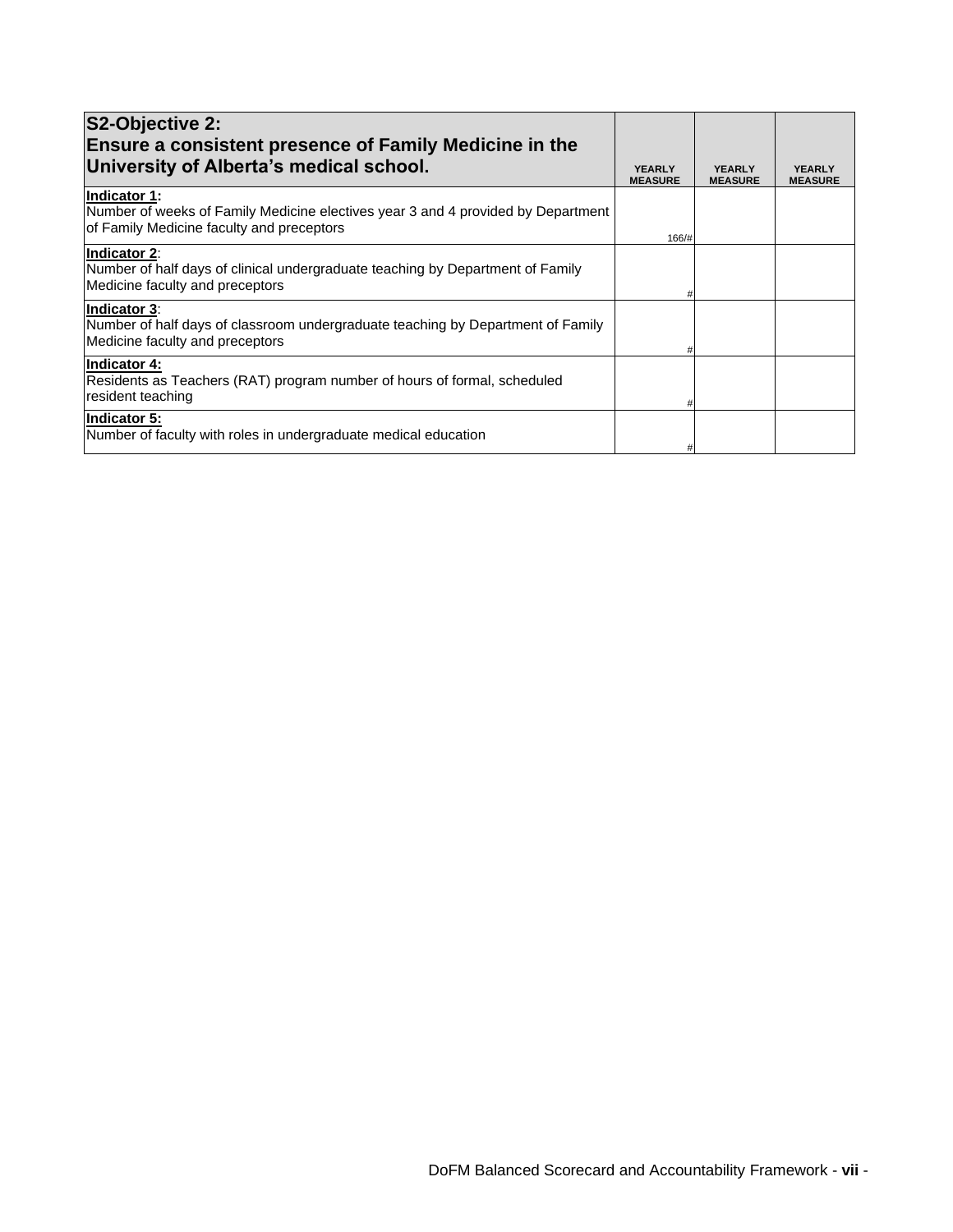| S2-Objective 2:<br><b>Ensure a consistent presence of Family Medicine in the</b>                                                              |                                 |                                 |                                 |
|-----------------------------------------------------------------------------------------------------------------------------------------------|---------------------------------|---------------------------------|---------------------------------|
| University of Alberta's medical school.                                                                                                       | <b>YEARLY</b><br><b>MEASURE</b> | <b>YEARLY</b><br><b>MEASURE</b> | <b>YEARLY</b><br><b>MEASURE</b> |
| Indicator 1:<br>Number of weeks of Family Medicine electives year 3 and 4 provided by Department<br>of Family Medicine faculty and preceptors | 166/#                           |                                 |                                 |
| Indicator 2:<br>Number of half days of clinical undergraduate teaching by Department of Family<br>Medicine faculty and preceptors             |                                 |                                 |                                 |
| Indicator 3:<br>Number of half days of classroom undergraduate teaching by Department of Family<br>Medicine faculty and preceptors            |                                 |                                 |                                 |
| Indicator 4:<br>Residents as Teachers (RAT) program number of hours of formal, scheduled<br>resident teaching                                 |                                 |                                 |                                 |
| Indicator 5:<br>Number of faculty with roles in undergraduate medical education                                                               |                                 |                                 |                                 |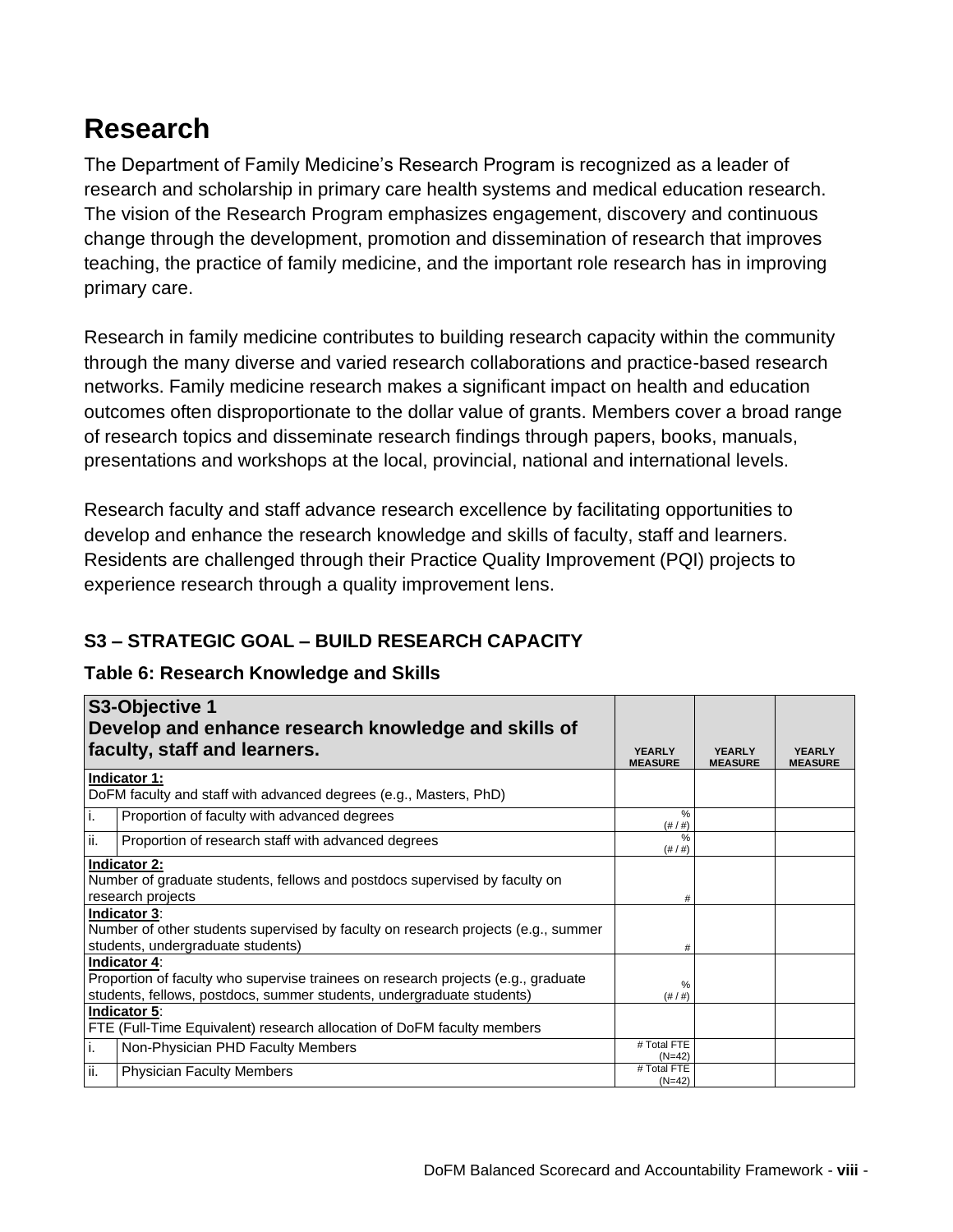## **Research**

The Department of Family Medicine's Research Program is recognized as a leader of research and scholarship in primary care health systems and medical education research. The vision of the Research Program emphasizes engagement, discovery and continuous change through the development, promotion and dissemination of research that improves teaching, the practice of family medicine, and the important role research has in improving primary care.

Research in family medicine contributes to building research capacity within the community through the many diverse and varied research collaborations and practice-based research networks. Family medicine research makes a significant impact on health and education outcomes often disproportionate to the dollar value of grants. Members cover a broad range of research topics and disseminate research findings through papers, books, manuals, presentations and workshops at the local, provincial, national and international levels.

Research faculty and staff advance research excellence by facilitating opportunities to develop and enhance the research knowledge and skills of faculty, staff and learners. Residents are challenged through their Practice Quality Improvement (PQI) projects to experience research through a quality improvement lens.

## **S3 – STRATEGIC GOAL – BUILD RESEARCH CAPACITY**

## **Table 6: Research Knowledge and Skills**

|     | S3-Objective 1                                                                                                                                                             |                                 |                                 |                                 |
|-----|----------------------------------------------------------------------------------------------------------------------------------------------------------------------------|---------------------------------|---------------------------------|---------------------------------|
|     | Develop and enhance research knowledge and skills of                                                                                                                       |                                 |                                 |                                 |
|     | faculty, staff and learners.                                                                                                                                               | <b>YEARLY</b><br><b>MEASURE</b> | <b>YFARLY</b><br><b>MEASURE</b> | <b>YEARLY</b><br><b>MEASURE</b> |
|     | Indicator 1:                                                                                                                                                               |                                 |                                 |                                 |
|     | DoFM faculty and staff with advanced degrees (e.g., Masters, PhD)                                                                                                          |                                 |                                 |                                 |
| i.  | Proportion of faculty with advanced degrees                                                                                                                                | %<br>$(\# / \#)$                |                                 |                                 |
| ii. | Proportion of research staff with advanced degrees                                                                                                                         | $\%$<br>$(\# / \#)$             |                                 |                                 |
|     | <b>Indicator 2:</b><br>Number of graduate students, fellows and postdocs supervised by faculty on<br>research projects                                                     | #                               |                                 |                                 |
|     | Indicator 3:<br>Number of other students supervised by faculty on research projects (e.g., summer<br>students, undergraduate students)                                     | #                               |                                 |                                 |
|     | Indicator 4:<br>Proportion of faculty who supervise trainees on research projects (e.g., graduate<br>students, fellows, postdocs, summer students, undergraduate students) | %<br>$(\# / \#)$                |                                 |                                 |
|     | Indicator 5:<br>FTE (Full-Time Equivalent) research allocation of DoFM faculty members                                                                                     |                                 |                                 |                                 |
| i.  | Non-Physician PHD Faculty Members                                                                                                                                          | # Total FTE<br>$(N=42)$         |                                 |                                 |
| ii. | <b>Physician Faculty Members</b>                                                                                                                                           | # Total FTE<br>$(N=42)$         |                                 |                                 |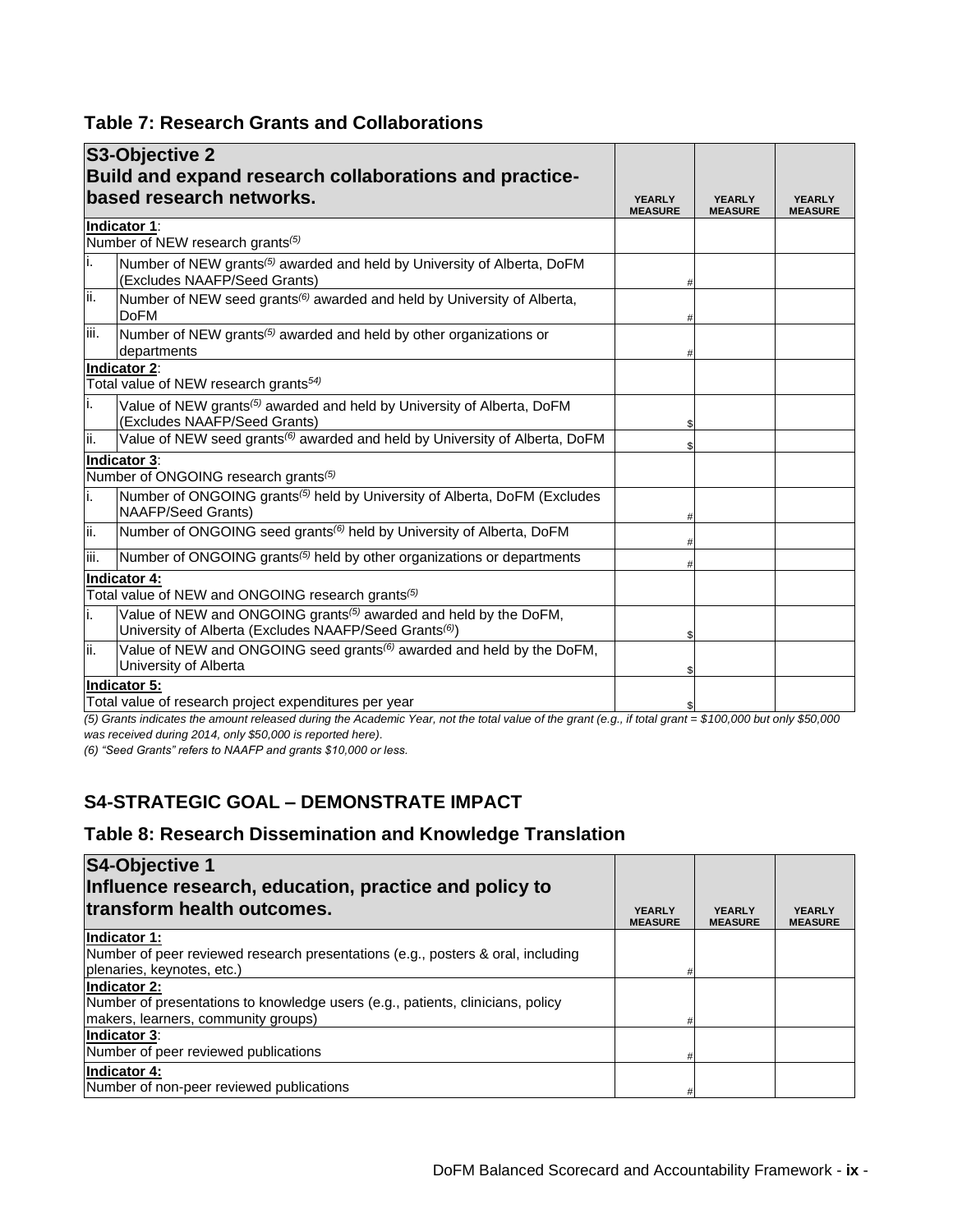#### **Table 7: Research Grants and Collaborations**

|      | S3-Objective 2                                                                                                                                     |                                 |                                 |                                 |
|------|----------------------------------------------------------------------------------------------------------------------------------------------------|---------------------------------|---------------------------------|---------------------------------|
|      | Build and expand research collaborations and practice-<br>based research networks.                                                                 | <b>YEARLY</b><br><b>MEASURE</b> | <b>YEARLY</b><br><b>MEASURE</b> | <b>YEARLY</b><br><b>MEASURE</b> |
|      | Indicator 1:<br>Number of NEW research grants <sup>(5)</sup>                                                                                       |                                 |                                 |                                 |
| li.  | Number of NEW grants <sup>(5)</sup> awarded and held by University of Alberta, DoFM<br>(Excludes NAAFP/Seed Grants)                                |                                 |                                 |                                 |
| ii.  | Number of NEW seed grants <sup>(6)</sup> awarded and held by University of Alberta,<br><b>DoFM</b>                                                 |                                 |                                 |                                 |
| iii. | Number of NEW grants <sup>(5)</sup> awarded and held by other organizations or<br>departments                                                      |                                 |                                 |                                 |
|      | Indicator 2:<br>Total value of NEW research grants <sup>54)</sup>                                                                                  |                                 |                                 |                                 |
| i.   | Value of NEW grants <sup>(5)</sup> awarded and held by University of Alberta, DoFM<br>(Excludes NAAFP/Seed Grants)                                 |                                 |                                 |                                 |
| lii. | Value of NEW seed grants <sup>(6)</sup> awarded and held by University of Alberta, DoFM                                                            |                                 |                                 |                                 |
|      | Indicator 3:<br>Number of ONGOING research grants <sup>(5)</sup>                                                                                   |                                 |                                 |                                 |
| i.   | Number of ONGOING grants <sup>(5)</sup> held by University of Alberta, DoFM (Excludes<br>NAAFP/Seed Grants)                                        |                                 |                                 |                                 |
| ii.  | Number of ONGOING seed grants <sup>(6)</sup> held by University of Alberta, DoFM                                                                   |                                 |                                 |                                 |
| iii. | Number of ONGOING grants <sup>(5)</sup> held by other organizations or departments                                                                 |                                 |                                 |                                 |
|      | Indicator 4:<br>Total value of NEW and ONGOING research grants <sup>(5)</sup>                                                                      |                                 |                                 |                                 |
| i.   | Value of NEW and ONGOING grants <sup>(5)</sup> awarded and held by the DoFM,<br>University of Alberta (Excludes NAAFP/Seed Grants <sup>(6)</sup> ) |                                 |                                 |                                 |
| lii. | Value of NEW and ONGOING seed grants <sup>(6)</sup> awarded and held by the DoFM,<br>University of Alberta                                         |                                 |                                 |                                 |
|      | Indicator 5:<br>Total value of research project expenditures per year                                                                              |                                 |                                 |                                 |
|      |                                                                                                                                                    |                                 |                                 |                                 |

*(5) Grants indicates the amount released during the Academic Year, not the total value of the grant (e.g., if total grant = \$100,000 but only \$50,000 was received during 2014, only \$50,000 is reported here).*

*(6) "Seed Grants" refers to NAAFP and grants \$10,000 or less.*

## **S4-STRATEGIC GOAL – DEMONSTRATE IMPACT**

### **Table 8: Research Dissemination and Knowledge Translation**

| <b>S4-Objective 1</b>                                                           |                                 |                                 |                                 |
|---------------------------------------------------------------------------------|---------------------------------|---------------------------------|---------------------------------|
| Influence research, education, practice and policy to                           |                                 |                                 |                                 |
| transform health outcomes.                                                      | <b>YEARLY</b><br><b>MEASURE</b> | <b>YEARLY</b><br><b>MEASURE</b> | <b>YEARLY</b><br><b>MEASURE</b> |
| Indicator 1:                                                                    |                                 |                                 |                                 |
| Number of peer reviewed research presentations (e.g., posters & oral, including |                                 |                                 |                                 |
| plenaries, keynotes, etc.)                                                      |                                 |                                 |                                 |
| Indicator 2:                                                                    |                                 |                                 |                                 |
| Number of presentations to knowledge users (e.g., patients, clinicians, policy  |                                 |                                 |                                 |
| makers, learners, community groups)                                             |                                 |                                 |                                 |
| <b>Indicator 3:</b>                                                             |                                 |                                 |                                 |
| Number of peer reviewed publications                                            | #                               |                                 |                                 |
| Indicator 4:                                                                    |                                 |                                 |                                 |
| Number of non-peer reviewed publications                                        | #                               |                                 |                                 |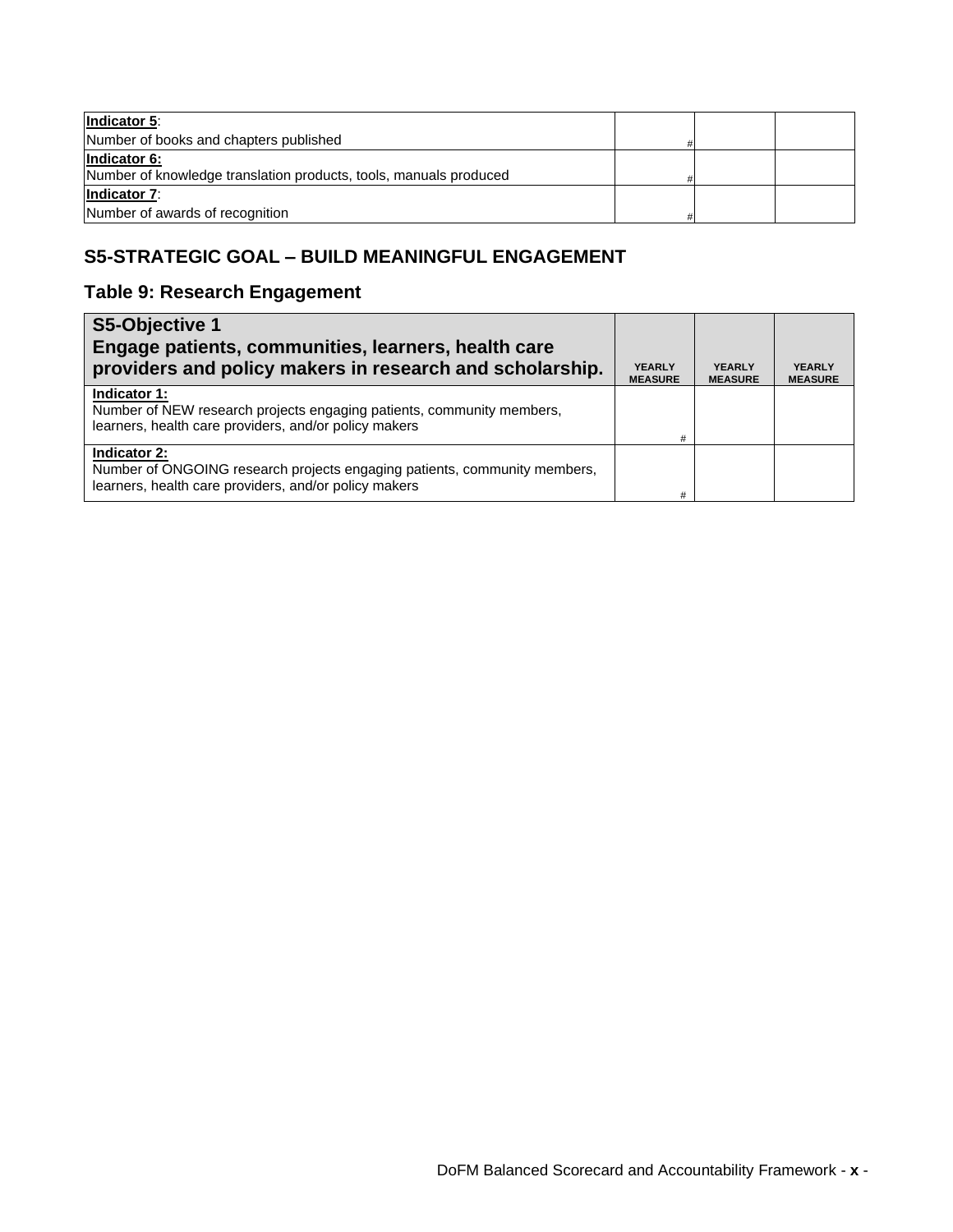| Indicator 5:                                                      |  |  |
|-------------------------------------------------------------------|--|--|
| Number of books and chapters published                            |  |  |
| Indicator 6:                                                      |  |  |
| Number of knowledge translation products, tools, manuals produced |  |  |
| <b>Indicator 7:</b>                                               |  |  |
| Number of awards of recognition                                   |  |  |

## **S5-STRATEGIC GOAL – BUILD MEANINGFUL ENGAGEMENT**

### **Table 9: Research Engagement**

| S5-Objective 1                                                                                                                                     |                                 |                                 |                                 |
|----------------------------------------------------------------------------------------------------------------------------------------------------|---------------------------------|---------------------------------|---------------------------------|
| Engage patients, communities, learners, health care<br>providers and policy makers in research and scholarship.                                    | <b>YEARLY</b><br><b>MEASURE</b> | <b>YEARLY</b><br><b>MEASURE</b> | <b>YEARLY</b><br><b>MEASURE</b> |
| Indicator 1:<br>Number of NEW research projects engaging patients, community members,<br>learners, health care providers, and/or policy makers     | #                               |                                 |                                 |
| Indicator 2:<br>Number of ONGOING research projects engaging patients, community members,<br>learners, health care providers, and/or policy makers | #                               |                                 |                                 |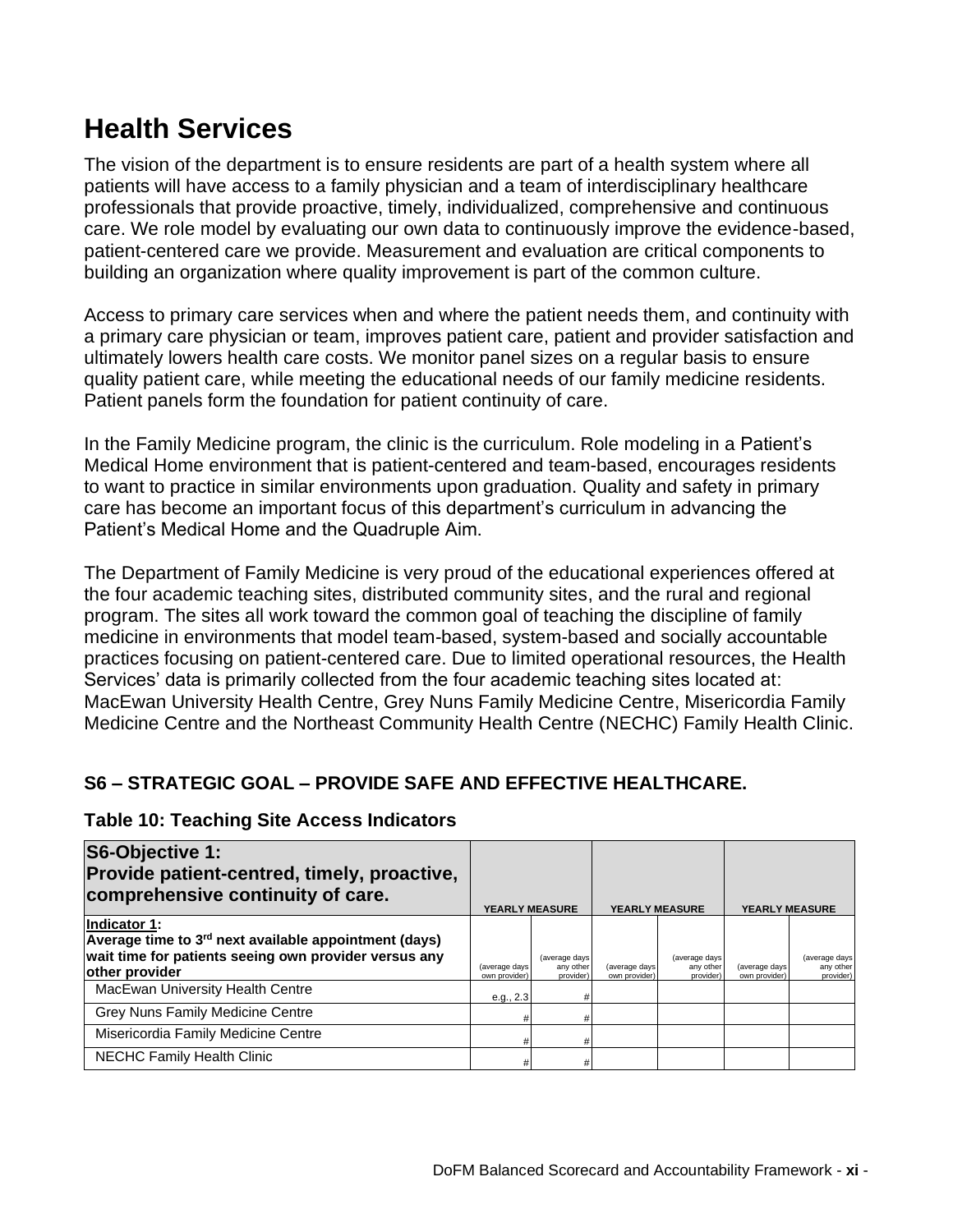## **Health Services**

The vision of the department is to ensure residents are part of a health system where all patients will have access to a family physician and a team of interdisciplinary healthcare professionals that provide proactive, timely, individualized, comprehensive and continuous care. We role model by evaluating our own data to continuously improve the evidence-based, patient-centered care we provide. Measurement and evaluation are critical components to building an organization where quality improvement is part of the common culture.

Access to primary care services when and where the patient needs them, and continuity with a primary care physician or team, improves patient care, patient and provider satisfaction and ultimately lowers health care costs. We monitor panel sizes on a regular basis to ensure quality patient care, while meeting the educational needs of our family medicine residents. Patient panels form the foundation for patient continuity of care.

In the Family Medicine program, the clinic is the curriculum. Role modeling in a Patient's Medical Home environment that is patient-centered and team-based, encourages residents to want to practice in similar environments upon graduation. Quality and safety in primary care has become an important focus of this department's curriculum in advancing the Patient's Medical Home and the Quadruple Aim.

The Department of Family Medicine is very proud of the educational experiences offered at the four academic teaching sites, distributed community sites, and the rural and regional program. The sites all work toward the common goal of teaching the discipline of family medicine in environments that model team-based, system-based and socially accountable practices focusing on patient-centered care. Due to limited operational resources, the Health Services' data is primarily collected from the four academic teaching sites located at: MacEwan University Health Centre, Grey Nuns Family Medicine Centre, Misericordia Family Medicine Centre and the Northeast Community Health Centre (NECHC) Family Health Clinic.

## **S6 – STRATEGIC GOAL – PROVIDE SAFE AND EFFECTIVE HEALTHCARE.**

**Table 10: Teaching Site Access Indicators**

| S6-Objective 1:<br>Provide patient-centred, timely, proactive,<br>comprehensive continuity of care.                                                          |                                | <b>YEARLY MEASURE</b>                    |                                | <b>YEARLY MEASURE</b>                   |                                | <b>YEARLY MEASURE</b>                    |
|--------------------------------------------------------------------------------------------------------------------------------------------------------------|--------------------------------|------------------------------------------|--------------------------------|-----------------------------------------|--------------------------------|------------------------------------------|
| Indicator 1:<br>Average time to 3 <sup>rd</sup> next available appointment (days)<br>wait time for patients seeing own provider versus any<br>other provider | (average days<br>own provider) | (average days)<br>any other<br>provider) | (average days<br>own provider) | (average days<br>any other<br>provider) | (average days<br>own provider) | (average days)<br>any other<br>provider) |
| MacEwan University Health Centre                                                                                                                             | e.g., 2.3                      |                                          |                                |                                         |                                |                                          |
| Grey Nuns Family Medicine Centre                                                                                                                             |                                |                                          |                                |                                         |                                |                                          |
| Misericordia Family Medicine Centre                                                                                                                          |                                |                                          |                                |                                         |                                |                                          |
| NECHC Family Health Clinic                                                                                                                                   |                                |                                          |                                |                                         |                                |                                          |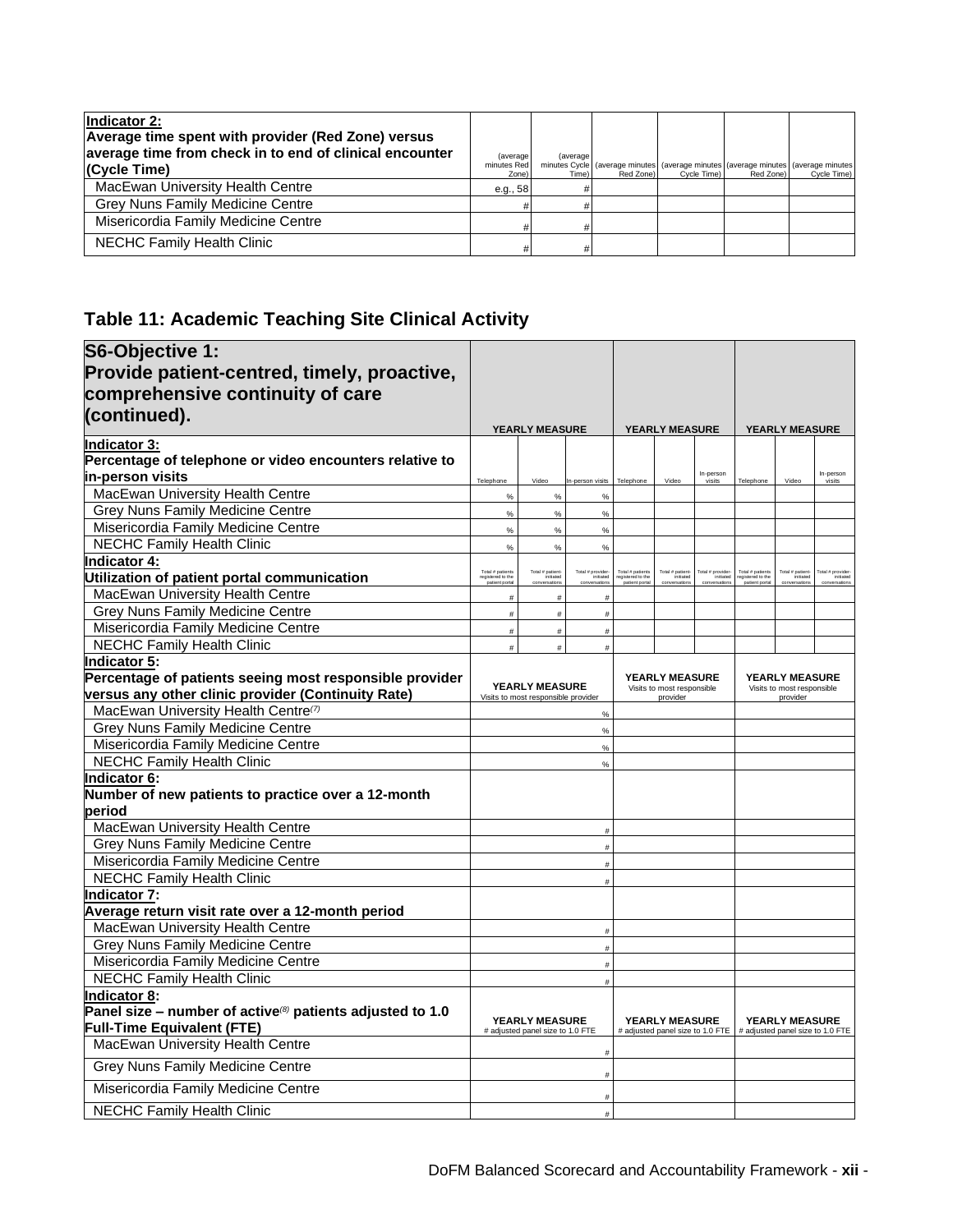| Indicator 2:<br>Average time spent with provider (Red Zone) versus<br>average time from check in to end of clinical encounter<br>(Cycle Time) | (average)<br>minutes Red<br>Zone) | (average)<br>Time). | minutes Cycle (average minutes (average minutes (average minutes (average minutes)<br>Red Zone) | Cycle Time) | Red Zone) | Cycle Time) |
|-----------------------------------------------------------------------------------------------------------------------------------------------|-----------------------------------|---------------------|-------------------------------------------------------------------------------------------------|-------------|-----------|-------------|
| MacEwan University Health Centre                                                                                                              | e.g., 58                          |                     |                                                                                                 |             |           |             |
| Grey Nuns Family Medicine Centre                                                                                                              |                                   |                     |                                                                                                 |             |           |             |
| Misericordia Family Medicine Centre                                                                                                           |                                   |                     |                                                                                                 |             |           |             |
| NECHC Family Health Clinic                                                                                                                    |                                   |                     |                                                                                                 |             |           |             |

## **Table 11: Academic Teaching Site Clinical Activity**

| S6-Objective 1:                                                                                            |                                       |                                     |                                |                                                        |                                  |                               |                                        |                                  |                              |
|------------------------------------------------------------------------------------------------------------|---------------------------------------|-------------------------------------|--------------------------------|--------------------------------------------------------|----------------------------------|-------------------------------|----------------------------------------|----------------------------------|------------------------------|
| Provide patient-centred, timely, proactive,                                                                |                                       |                                     |                                |                                                        |                                  |                               |                                        |                                  |                              |
| comprehensive continuity of care                                                                           |                                       |                                     |                                |                                                        |                                  |                               |                                        |                                  |                              |
| (continued).                                                                                               |                                       |                                     |                                |                                                        |                                  |                               |                                        |                                  |                              |
|                                                                                                            |                                       | YEARLY MEASURE                      |                                | <b>YEARLY MEASURE</b>                                  |                                  |                               | <b>YEARLY MEASURE</b>                  |                                  |                              |
| Indicator 3:<br>Percentage of telephone or video encounters relative to                                    |                                       |                                     |                                |                                                        |                                  |                               |                                        |                                  |                              |
| in-person visits                                                                                           |                                       |                                     |                                |                                                        |                                  | In-person                     |                                        |                                  | In-person                    |
| MacEwan University Health Centre                                                                           | Telephone<br>%                        | Video<br>%                          | In-person visits<br>%          | Telephone                                              | Video                            | visits                        | Telephone                              | Video                            | visits                       |
| Grey Nuns Family Medicine Centre                                                                           | $\%$                                  | $\frac{9}{6}$                       | $\%$                           |                                                        |                                  |                               |                                        |                                  |                              |
| Misericordia Family Medicine Centre                                                                        | $\frac{9}{6}$                         | $\frac{9}{6}$                       | $\frac{9}{6}$                  |                                                        |                                  |                               |                                        |                                  |                              |
| <b>NECHC Family Health Clinic</b>                                                                          | $\frac{0}{0}$                         | %                                   | %                              |                                                        |                                  |                               |                                        |                                  |                              |
| Indicator 4:                                                                                               |                                       |                                     |                                |                                                        |                                  |                               |                                        |                                  |                              |
| Utilization of patient portal communication                                                                | Total # patients<br>registered to the | Total # patient-<br>initiated       | Total # provider-<br>initiated | Total # patients<br>registered to the<br>patient ports | Total # patient                  | Total # provider<br>initiated | Total # patient<br>egistered to th     | Total # patient                  | tal # provider-<br>initiated |
| MacEwan University Health Centre                                                                           | #                                     | #                                   | #                              |                                                        |                                  |                               |                                        |                                  |                              |
| Grey Nuns Family Medicine Centre                                                                           | #                                     | #                                   | #                              |                                                        |                                  |                               |                                        |                                  |                              |
| Misericordia Family Medicine Centre                                                                        | $\#$                                  | $\#$                                | $\#$                           |                                                        |                                  |                               |                                        |                                  |                              |
| <b>NECHC Family Health Clinic</b>                                                                          | #                                     | #                                   | $^{\rm \#}$                    |                                                        |                                  |                               |                                        |                                  |                              |
| <b>Indicator 5:</b>                                                                                        |                                       |                                     |                                |                                                        |                                  |                               |                                        |                                  |                              |
| Percentage of patients seeing most responsible provider                                                    |                                       | <b>YEARLY MEASURE</b>               |                                | YEARLY MEASURE                                         |                                  |                               | YEARLY MEASURE                         |                                  |                              |
| versus any other clinic provider (Continuity Rate)                                                         |                                       | Visits to most responsible provider |                                | Visits to most responsible<br>provider                 |                                  |                               | Visits to most responsible<br>provider |                                  |                              |
| MacEwan University Health Centre(7)                                                                        |                                       |                                     | $\%$                           |                                                        |                                  |                               |                                        |                                  |                              |
| <b>Grey Nuns Family Medicine Centre</b>                                                                    |                                       |                                     | $\%$                           |                                                        |                                  |                               |                                        |                                  |                              |
| Misericordia Family Medicine Centre                                                                        |                                       |                                     | %                              |                                                        |                                  |                               |                                        |                                  |                              |
| <b>NECHC Family Health Clinic</b>                                                                          |                                       |                                     | $\%$                           |                                                        |                                  |                               |                                        |                                  |                              |
| Indicator 6:                                                                                               |                                       |                                     |                                |                                                        |                                  |                               |                                        |                                  |                              |
| Number of new patients to practice over a 12-month                                                         |                                       |                                     |                                |                                                        |                                  |                               |                                        |                                  |                              |
| period                                                                                                     |                                       |                                     |                                |                                                        |                                  |                               |                                        |                                  |                              |
| MacEwan University Health Centre                                                                           |                                       |                                     | #                              |                                                        |                                  |                               |                                        |                                  |                              |
| Grey Nuns Family Medicine Centre                                                                           |                                       |                                     | $\#$                           |                                                        |                                  |                               |                                        |                                  |                              |
| Misericordia Family Medicine Centre                                                                        |                                       |                                     |                                |                                                        |                                  |                               |                                        |                                  |                              |
| NECHC Family Health Clinic                                                                                 |                                       |                                     | #                              |                                                        |                                  |                               |                                        |                                  |                              |
| <b>Indicator 7:</b>                                                                                        |                                       |                                     |                                |                                                        |                                  |                               |                                        |                                  |                              |
| Average return visit rate over a 12-month period                                                           |                                       |                                     |                                |                                                        |                                  |                               |                                        |                                  |                              |
| MacEwan University Health Centre                                                                           |                                       |                                     | $\#$                           |                                                        |                                  |                               |                                        |                                  |                              |
| Grey Nuns Family Medicine Centre                                                                           |                                       |                                     | #                              |                                                        |                                  |                               |                                        |                                  |                              |
| Misericordia Family Medicine Centre                                                                        |                                       |                                     | #                              |                                                        |                                  |                               |                                        |                                  |                              |
| <b>NECHC Family Health Clinic</b>                                                                          |                                       |                                     |                                |                                                        |                                  |                               |                                        |                                  |                              |
| <b>Indicator 8:</b>                                                                                        |                                       |                                     |                                |                                                        |                                  |                               |                                        |                                  |                              |
| Panel size – number of active <sup>(8)</sup> patients adjusted to 1.0<br><b>Full-Time Equivalent (FTE)</b> |                                       | <b>YEARLY MEASURE</b>               |                                |                                                        | <b>YEARLY MEASURE</b>            |                               |                                        | <b>YEARLY MEASURE</b>            |                              |
| MacEwan University Health Centre                                                                           |                                       | # adjusted panel size to 1.0 FTE    |                                |                                                        | # adjusted panel size to 1.0 FTE |                               |                                        | # adjusted panel size to 1.0 FTE |                              |
| <b>Grey Nuns Family Medicine Centre</b>                                                                    |                                       |                                     | #                              |                                                        |                                  |                               |                                        |                                  |                              |
| Misericordia Family Medicine Centre                                                                        |                                       |                                     |                                |                                                        |                                  |                               |                                        |                                  |                              |
| <b>NECHC Family Health Clinic</b>                                                                          |                                       |                                     |                                |                                                        |                                  |                               |                                        |                                  |                              |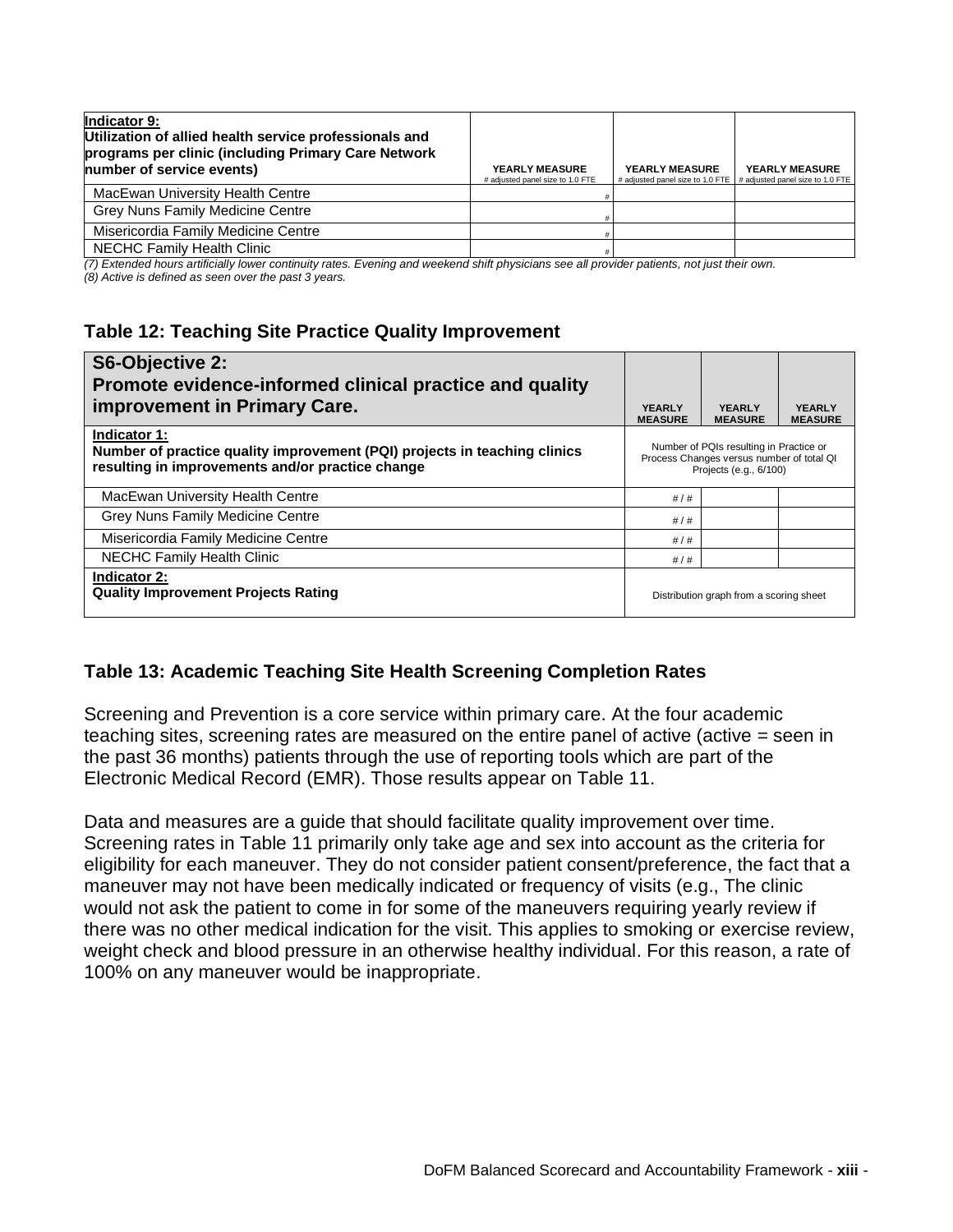| Indicator 9:<br>Utilization of allied health service professionals and<br>programs per clinic (including Primary Care Network<br>number of service events) | <b>YEARLY MEASURE</b><br># adjusted panel size to 1.0 FTE | <b>YEARLY MEASURE</b> | YEARLY MEASURE<br># adjusted panel size to 1.0 FTE # adjusted panel size to 1.0 FTE |
|------------------------------------------------------------------------------------------------------------------------------------------------------------|-----------------------------------------------------------|-----------------------|-------------------------------------------------------------------------------------|
| MacEwan University Health Centre                                                                                                                           |                                                           |                       |                                                                                     |
| Grey Nuns Family Medicine Centre                                                                                                                           |                                                           |                       |                                                                                     |
| Misericordia Family Medicine Centre                                                                                                                        |                                                           |                       |                                                                                     |
| <b>NECHC Family Health Clinic</b>                                                                                                                          |                                                           |                       |                                                                                     |

*(7) Extended hours artificially lower continuity rates. Evening and weekend shift physicians see all provider patients, not just their own. (8) Active is defined as seen over the past 3 years.*

### **Table 12: Teaching Site Practice Quality Improvement**

| S6-Objective 2:<br>Promote evidence-informed clinical practice and quality<br>improvement in Primary Care.                                    | <b>YEARLY</b><br><b>MEASURE</b> | <b>YFARLY</b><br><b>MEASURE</b>                                                                                | <b>YFARLY</b><br><b>MEASURE</b> |
|-----------------------------------------------------------------------------------------------------------------------------------------------|---------------------------------|----------------------------------------------------------------------------------------------------------------|---------------------------------|
| Indicator 1:<br>Number of practice quality improvement (PQI) projects in teaching clinics<br>resulting in improvements and/or practice change |                                 | Number of PQIs resulting in Practice or<br>Process Changes versus number of total QI<br>Projects (e.g., 6/100) |                                 |
| MacEwan University Health Centre                                                                                                              | #/#                             |                                                                                                                |                                 |
| <b>Grey Nuns Family Medicine Centre</b>                                                                                                       | #/#                             |                                                                                                                |                                 |
| Misericordia Family Medicine Centre                                                                                                           | #/#                             |                                                                                                                |                                 |
| NECHC Family Health Clinic                                                                                                                    | #/#                             |                                                                                                                |                                 |
| Indicator 2:<br><b>Quality Improvement Projects Rating</b>                                                                                    |                                 | Distribution graph from a scoring sheet                                                                        |                                 |

### **Table 13: Academic Teaching Site Health Screening Completion Rates**

Screening and Prevention is a core service within primary care. At the four academic teaching sites, screening rates are measured on the entire panel of active (active = seen in the past 36 months) patients through the use of reporting tools which are part of the Electronic Medical Record (EMR). Those results appear on Table 11.

Data and measures are a guide that should facilitate quality improvement over time. Screening rates in Table 11 primarily only take age and sex into account as the criteria for eligibility for each maneuver. They do not consider patient consent/preference, the fact that a maneuver may not have been medically indicated or frequency of visits (e.g., The clinic would not ask the patient to come in for some of the maneuvers requiring yearly review if there was no other medical indication for the visit. This applies to smoking or exercise review, weight check and blood pressure in an otherwise healthy individual. For this reason, a rate of 100% on any maneuver would be inappropriate.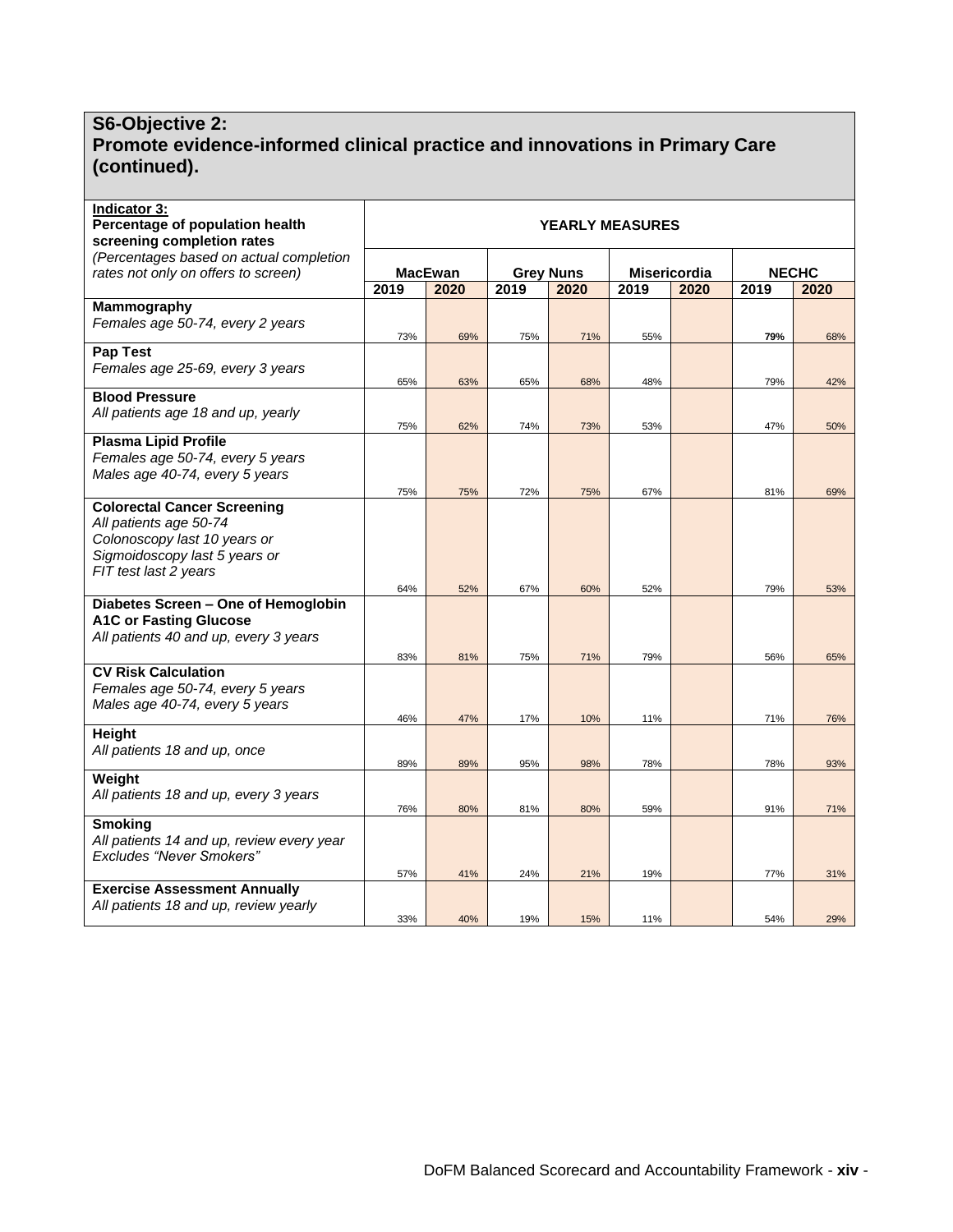#### **S6-Objective 2: Promote evidence-informed clinical practice and innovations in Primary Care (continued).**

| <b>Indicator 3:</b><br>Percentage of population health<br>screening completion rates                                                                   | <b>YEARLY MEASURES</b> |                |                  |            |              |      |              |            |
|--------------------------------------------------------------------------------------------------------------------------------------------------------|------------------------|----------------|------------------|------------|--------------|------|--------------|------------|
| (Percentages based on actual completion<br>rates not only on offers to screen)                                                                         |                        | <b>MacEwan</b> | <b>Grey Nuns</b> |            | Misericordia |      | <b>NECHC</b> |            |
|                                                                                                                                                        | 2019                   | 2020           | 2019             | 2020       | 2019         | 2020 | 2019         | 2020       |
| Mammography<br>Females age 50-74, every 2 years                                                                                                        | 73%                    | 69%            | 75%              | 71%        | 55%          |      | 79%          | 68%        |
| Pap Test<br>Females age 25-69, every 3 years                                                                                                           | 65%                    | 63%            | 65%              | 68%        | 48%          |      | 79%          | 42%        |
| <b>Blood Pressure</b><br>All patients age 18 and up, yearly                                                                                            | 75%                    | 62%            | 74%              | 73%        | 53%          |      | 47%          | 50%        |
| <b>Plasma Lipid Profile</b><br>Females age 50-74, every 5 years<br>Males age 40-74, every 5 years                                                      |                        |                |                  |            |              |      |              |            |
| <b>Colorectal Cancer Screening</b><br>All patients age 50-74<br>Colonoscopy last 10 years or<br>Sigmoidoscopy last 5 years or<br>FIT test last 2 years | 75%<br>64%             | 75%<br>52%     | 72%<br>67%       | 75%<br>60% | 67%<br>52%   |      | 81%<br>79%   | 69%<br>53% |
| Diabetes Screen - One of Hemoglobin<br><b>A1C or Fasting Glucose</b><br>All patients 40 and up, every 3 years                                          | 83%                    | 81%            | 75%              | 71%        | 79%          |      | 56%          | 65%        |
| <b>CV Risk Calculation</b><br>Females age 50-74, every 5 years<br>Males age 40-74, every 5 years                                                       | 46%                    | 47%            | 17%              | 10%        | 11%          |      | 71%          | 76%        |
| Height<br>All patients 18 and up, once                                                                                                                 | 89%                    | 89%            | 95%              | 98%        | 78%          |      | 78%          | 93%        |
| Weight<br>All patients 18 and up, every 3 years                                                                                                        | 76%                    | 80%            | 81%              | 80%        | 59%          |      | 91%          | 71%        |
| <b>Smoking</b><br>All patients 14 and up, review every year<br><b>Excludes "Never Smokers"</b>                                                         | 57%                    | 41%            | 24%              | 21%        | 19%          |      | 77%          | 31%        |
| <b>Exercise Assessment Annually</b><br>All patients 18 and up, review yearly                                                                           | 33%                    | 40%            | 19%              | 15%        | 11%          |      | 54%          | 29%        |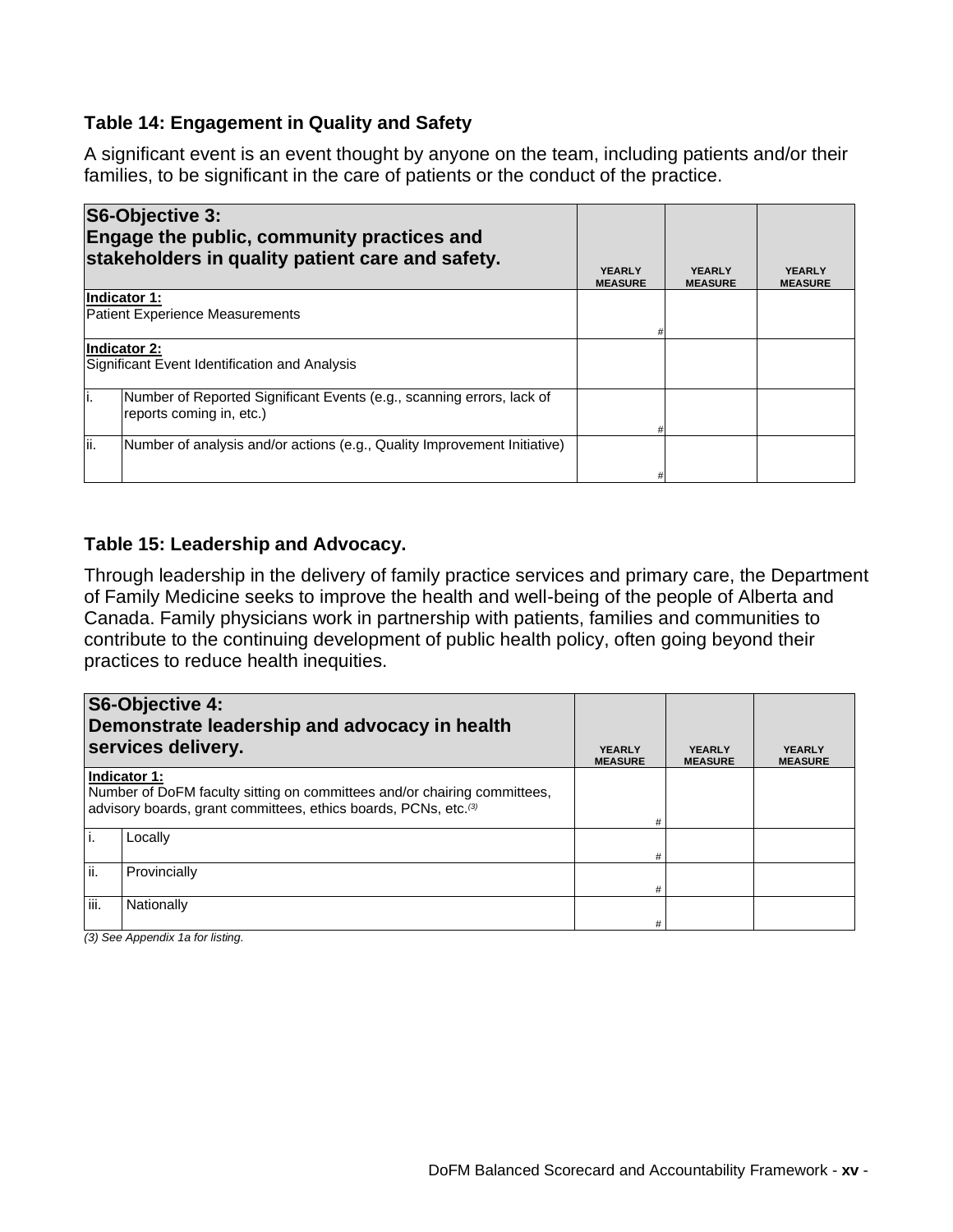### **Table 14: Engagement in Quality and Safety**

A significant event is an event thought by anyone on the team, including patients and/or their families, to be significant in the care of patients or the conduct of the practice.

| S6-Objective 3:                        | Engage the public, community practices and<br>stakeholders in quality patient care and safety. | <b>YEARLY</b><br><b>MEASURE</b> | <b>YEARLY</b><br><b>MEASURE</b> | <b>YEARLY</b><br><b>MEASURE</b> |
|----------------------------------------|------------------------------------------------------------------------------------------------|---------------------------------|---------------------------------|---------------------------------|
| Indicator 1:                           |                                                                                                |                                 |                                 |                                 |
| <b>Patient Experience Measurements</b> |                                                                                                |                                 |                                 |                                 |
|                                        |                                                                                                |                                 |                                 |                                 |
| Indicator 2:                           | Significant Event Identification and Analysis                                                  |                                 |                                 |                                 |
| li.<br>reports coming in, etc.)        | Number of Reported Significant Events (e.g., scanning errors, lack of                          |                                 |                                 |                                 |
| lii.                                   | Number of analysis and/or actions (e.g., Quality Improvement Initiative)                       |                                 |                                 |                                 |
|                                        |                                                                                                |                                 |                                 |                                 |

#### **Table 15: Leadership and Advocacy.**

Through leadership in the delivery of family practice services and primary care, the Department of Family Medicine seeks to improve the health and well-being of the people of Alberta and Canada. Family physicians work in partnership with patients, families and communities to contribute to the continuing development of public health policy, often going beyond their practices to reduce health inequities.

|      | S6-Objective 4:<br>Demonstrate leadership and advocacy in health<br>services delivery.                                                                                  | <b>YEARLY</b><br><b>MEASURE</b> | <b>YEARLY</b><br><b>MEASURE</b> | <b>YEARLY</b><br><b>MEASURE</b> |
|------|-------------------------------------------------------------------------------------------------------------------------------------------------------------------------|---------------------------------|---------------------------------|---------------------------------|
|      | Indicator 1:<br>Number of DoFM faculty sitting on committees and/or chairing committees,<br>advisory boards, grant committees, ethics boards, PCNs, etc. <sup>(3)</sup> | #                               |                                 |                                 |
|      | Locally                                                                                                                                                                 | #                               |                                 |                                 |
| ji.  | Provincially                                                                                                                                                            | #                               |                                 |                                 |
| iii. | Nationally                                                                                                                                                              | #                               |                                 |                                 |

*(3) See Appendix 1a for listing.*